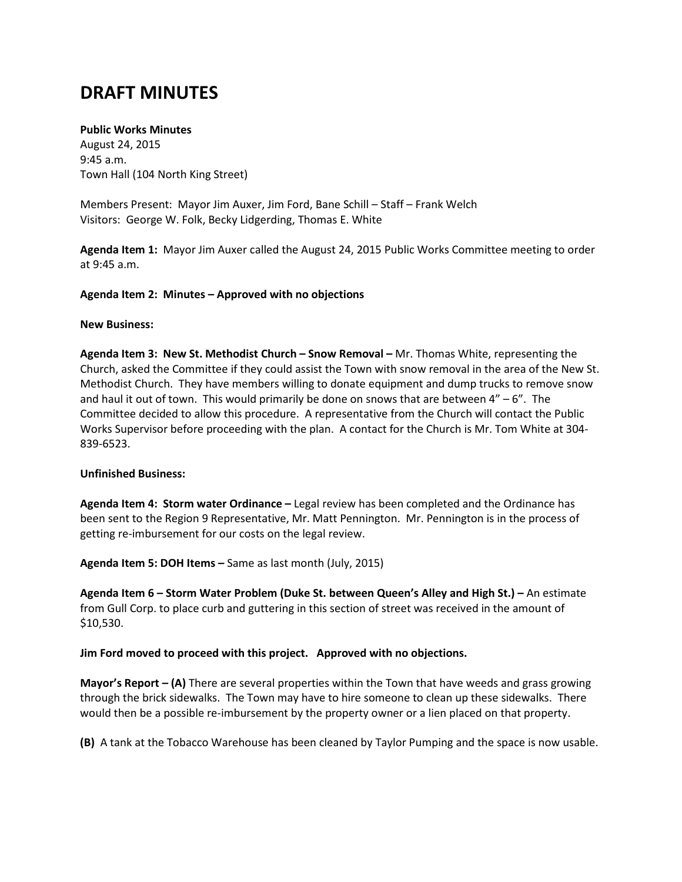# **DRAFT MINUTES**

# **Public Works Minutes**

August 24, 2015 9:45 a.m. Town Hall (104 North King Street)

Members Present: Mayor Jim Auxer, Jim Ford, Bane Schill – Staff – Frank Welch Visitors: George W. Folk, Becky Lidgerding, Thomas E. White

**Agenda Item 1:** Mayor Jim Auxer called the August 24, 2015 Public Works Committee meeting to order at 9:45 a.m.

# **Agenda Item 2: Minutes – Approved with no objections**

#### **New Business:**

**Agenda Item 3: New St. Methodist Church – Snow Removal –** Mr. Thomas White, representing the Church, asked the Committee if they could assist the Town with snow removal in the area of the New St. Methodist Church. They have members willing to donate equipment and dump trucks to remove snow and haul it out of town. This would primarily be done on snows that are between  $4" - 6"$ . The Committee decided to allow this procedure. A representative from the Church will contact the Public Works Supervisor before proceeding with the plan. A contact for the Church is Mr. Tom White at 304- 839-6523.

#### **Unfinished Business:**

**Agenda Item 4: Storm water Ordinance –** Legal review has been completed and the Ordinance has been sent to the Region 9 Representative, Mr. Matt Pennington. Mr. Pennington is in the process of getting re-imbursement for our costs on the legal review.

**Agenda Item 5: DOH Items –** Same as last month (July, 2015)

**Agenda Item 6 – Storm Water Problem (Duke St. between Queen's Alley and High St.) –** An estimate from Gull Corp. to place curb and guttering in this section of street was received in the amount of \$10,530.

# **Jim Ford moved to proceed with this project. Approved with no objections.**

**Mayor's Report – (A)** There are several properties within the Town that have weeds and grass growing through the brick sidewalks. The Town may have to hire someone to clean up these sidewalks. There would then be a possible re-imbursement by the property owner or a lien placed on that property.

**(B)** A tank at the Tobacco Warehouse has been cleaned by Taylor Pumping and the space is now usable.